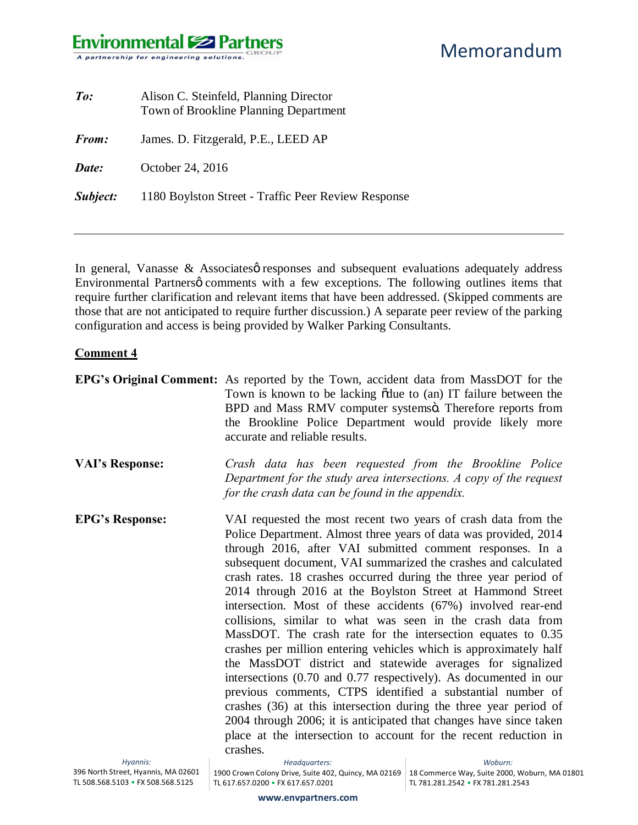### **Environmental Solutions** A partnership for engineering solutions.

| $\mathit{To}$ : | Alison C. Steinfeld, Planning Director<br>Town of Brookline Planning Department |
|-----------------|---------------------------------------------------------------------------------|
| <b>From:</b>    | James. D. Fitzgerald, P.E., LEED AP                                             |
| Date:           | October 24, 2016                                                                |
| <b>Subject:</b> | 1180 Boylston Street - Traffic Peer Review Response                             |

In general, Vanasse  $\&$  Associates  $\phi$  responses and subsequent evaluations adequately address Environmental Partnersø comments with a few exceptions. The following outlines items that require further clarification and relevant items that have been addressed. (Skipped comments are those that are not anticipated to require further discussion.) A separate peer review of the parking configuration and access is being provided by Walker Parking Consultants.

#### **Comment 4**

|                        | <b>EPG's Original Comment:</b> As reported by the Town, accident data from MassDOT for the<br>Town is known to be lacking odue to (an) IT failure between the<br>BPD and Mass RMV computer systemsö. Therefore reports from<br>the Brookline Police Department would provide likely more<br>accurate and reliable results.                                                                                                                                                                                                                                                                                                                                                                                                                                                                                                                                                                                                                                                                                                                                                                          |
|------------------------|-----------------------------------------------------------------------------------------------------------------------------------------------------------------------------------------------------------------------------------------------------------------------------------------------------------------------------------------------------------------------------------------------------------------------------------------------------------------------------------------------------------------------------------------------------------------------------------------------------------------------------------------------------------------------------------------------------------------------------------------------------------------------------------------------------------------------------------------------------------------------------------------------------------------------------------------------------------------------------------------------------------------------------------------------------------------------------------------------------|
| <b>VAI's Response:</b> | Crash data has been requested from the Brookline Police<br>Department for the study area intersections. A copy of the request<br>for the crash data can be found in the appendix.                                                                                                                                                                                                                                                                                                                                                                                                                                                                                                                                                                                                                                                                                                                                                                                                                                                                                                                   |
| <b>EPG's Response:</b> | VAI requested the most recent two years of crash data from the<br>Police Department. Almost three years of data was provided, 2014<br>through 2016, after VAI submitted comment responses. In a<br>subsequent document, VAI summarized the crashes and calculated<br>crash rates. 18 crashes occurred during the three year period of<br>2014 through 2016 at the Boylston Street at Hammond Street<br>intersection. Most of these accidents (67%) involved rear-end<br>collisions, similar to what was seen in the crash data from<br>MassDOT. The crash rate for the intersection equates to 0.35<br>crashes per million entering vehicles which is approximately half<br>the MassDOT district and statewide averages for signalized<br>intersections (0.70 and 0.77 respectively). As documented in our<br>previous comments, CTPS identified a substantial number of<br>crashes (36) at this intersection during the three year period of<br>2004 through 2006; it is anticipated that changes have since taken<br>place at the intersection to account for the recent reduction in<br>crashes. |
| Hyannis <sup>.</sup>   | Headauarters: Electric State of the State of the State of the State of the State of the State of the State of the State of the State of the State of the State of the State of the State of the State of the State of the Stat<br>Mohurn                                                                                                                                                                                                                                                                                                                                                                                                                                                                                                                                                                                                                                                                                                                                                                                                                                                            |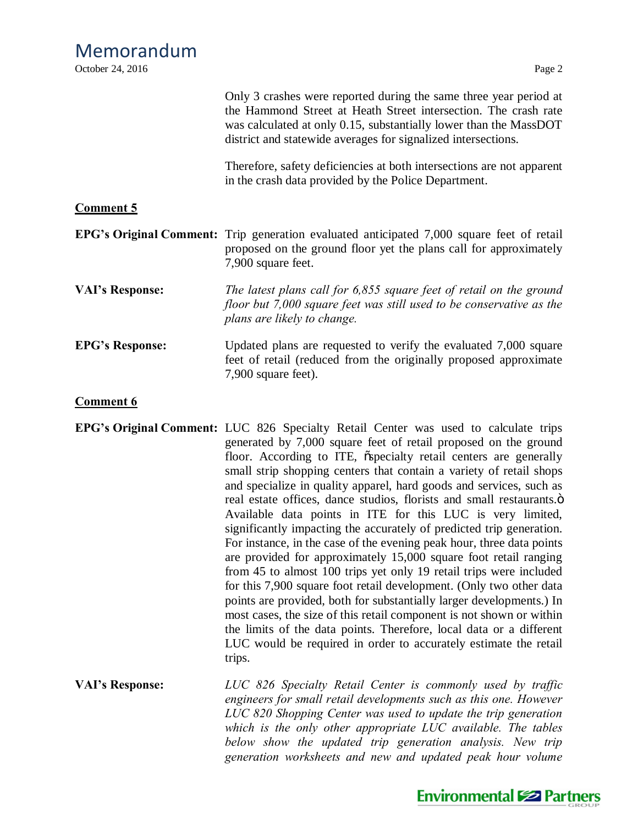| October 24, 2016       | Page 2                                                                                                                                                                                                                                                                                                                                                                                                                                                                                                                                                                                                                                                                                                                                                                                                                                                                                                                                                                                                                                                                                                                                                                                |
|------------------------|---------------------------------------------------------------------------------------------------------------------------------------------------------------------------------------------------------------------------------------------------------------------------------------------------------------------------------------------------------------------------------------------------------------------------------------------------------------------------------------------------------------------------------------------------------------------------------------------------------------------------------------------------------------------------------------------------------------------------------------------------------------------------------------------------------------------------------------------------------------------------------------------------------------------------------------------------------------------------------------------------------------------------------------------------------------------------------------------------------------------------------------------------------------------------------------|
|                        | Only 3 crashes were reported during the same three year period at<br>the Hammond Street at Heath Street intersection. The crash rate<br>was calculated at only 0.15, substantially lower than the MassDOT<br>district and statewide averages for signalized intersections.                                                                                                                                                                                                                                                                                                                                                                                                                                                                                                                                                                                                                                                                                                                                                                                                                                                                                                            |
|                        | Therefore, safety deficiencies at both intersections are not apparent<br>in the crash data provided by the Police Department.                                                                                                                                                                                                                                                                                                                                                                                                                                                                                                                                                                                                                                                                                                                                                                                                                                                                                                                                                                                                                                                         |
| <b>Comment 5</b>       |                                                                                                                                                                                                                                                                                                                                                                                                                                                                                                                                                                                                                                                                                                                                                                                                                                                                                                                                                                                                                                                                                                                                                                                       |
|                        | <b>EPG's Original Comment:</b> Trip generation evaluated anticipated 7,000 square feet of retail<br>proposed on the ground floor yet the plans call for approximately<br>7,900 square feet.                                                                                                                                                                                                                                                                                                                                                                                                                                                                                                                                                                                                                                                                                                                                                                                                                                                                                                                                                                                           |
| <b>VAI's Response:</b> | The latest plans call for 6,855 square feet of retail on the ground<br>floor but 7,000 square feet was still used to be conservative as the<br>plans are likely to change.                                                                                                                                                                                                                                                                                                                                                                                                                                                                                                                                                                                                                                                                                                                                                                                                                                                                                                                                                                                                            |
| <b>EPG's Response:</b> | Updated plans are requested to verify the evaluated 7,000 square<br>feet of retail (reduced from the originally proposed approximate<br>7,900 square feet).                                                                                                                                                                                                                                                                                                                                                                                                                                                                                                                                                                                                                                                                                                                                                                                                                                                                                                                                                                                                                           |
| <b>Comment 6</b>       |                                                                                                                                                                                                                                                                                                                                                                                                                                                                                                                                                                                                                                                                                                                                                                                                                                                                                                                                                                                                                                                                                                                                                                                       |
|                        | EPG's Original Comment: LUC 826 Specialty Retail Center was used to calculate trips<br>generated by 7,000 square feet of retail proposed on the ground<br>floor. According to ITE, ospecialty retail centers are generally<br>small strip shopping centers that contain a variety of retail shops<br>and specialize in quality apparel, hard goods and services, such as<br>real estate offices, dance studios, florists and small restaurants.o<br>Available data points in ITE for this LUC is very limited,<br>significantly impacting the accurately of predicted trip generation.<br>For instance, in the case of the evening peak hour, three data points<br>are provided for approximately 15,000 square foot retail ranging<br>from 45 to almost 100 trips yet only 19 retail trips were included<br>for this 7,900 square foot retail development. (Only two other data<br>points are provided, both for substantially larger developments.) In<br>most cases, the size of this retail component is not shown or within<br>the limits of the data points. Therefore, local data or a different<br>LUC would be required in order to accurately estimate the retail<br>trips. |
| <b>VAI's Response:</b> | LUC 826 Specialty Retail Center is commonly used by traffic<br>engineers for small retail developments such as this one. However<br>LUC 820 Shopping Center was used to update the trip generation<br>which is the only other appropriate LUC available. The tables                                                                                                                                                                                                                                                                                                                                                                                                                                                                                                                                                                                                                                                                                                                                                                                                                                                                                                                   |



*below show the updated trip generation analysis. New trip generation worksheets and new and updated peak hour volume*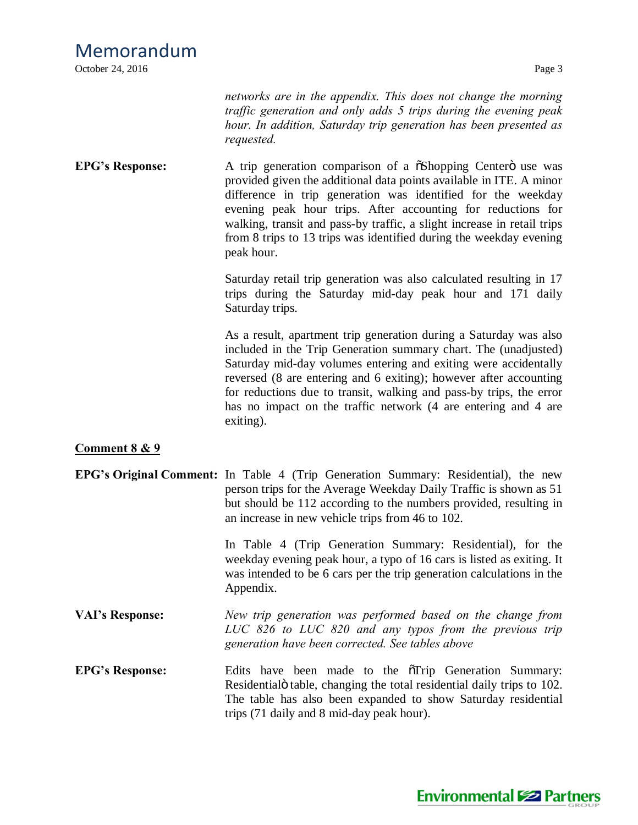October 24, 2016 Page 3

*networks are in the appendix. This does not change the morning traffic generation and only adds 5 trips during the evening peak hour. In addition, Saturday trip generation has been presented as requested.*

**EPG**'s Response: A trip generation comparison of a  $\tilde{\alpha}$ Shopping Centero use was provided given the additional data points available in ITE. A minor difference in trip generation was identified for the weekday evening peak hour trips. After accounting for reductions for walking, transit and pass-by traffic, a slight increase in retail trips from 8 trips to 13 trips was identified during the weekday evening peak hour.

> Saturday retail trip generation was also calculated resulting in 17 trips during the Saturday mid-day peak hour and 171 daily Saturday trips.

> As a result, apartment trip generation during a Saturday was also included in the Trip Generation summary chart. The (unadjusted) Saturday mid-day volumes entering and exiting were accidentally reversed (8 are entering and 6 exiting); however after accounting for reductions due to transit, walking and pass-by trips, the error has no impact on the traffic network (4 are entering and 4 are exiting).

### **Comment 8 & 9**

**EPG's Original Comment:** In Table 4 (Trip Generation Summary: Residential), the new person trips for the Average Weekday Daily Traffic is shown as 51 but should be 112 according to the numbers provided, resulting in an increase in new vehicle trips from 46 to 102.

> In Table 4 (Trip Generation Summary: Residential), for the weekday evening peak hour, a typo of 16 cars is listed as exiting. It was intended to be 6 cars per the trip generation calculations in the Appendix.

- **VAI's Response:** *New trip generation was performed based on the change from LUC 826 to LUC 820 and any typos from the previous trip generation have been corrected. See tables above*
- **EPG**'s Response: Edits have been made to the  $\tilde{\sigma}$ Trip Generation Summary: Residentialö table, changing the total residential daily trips to 102. The table has also been expanded to show Saturday residential trips (71 daily and 8 mid-day peak hour).

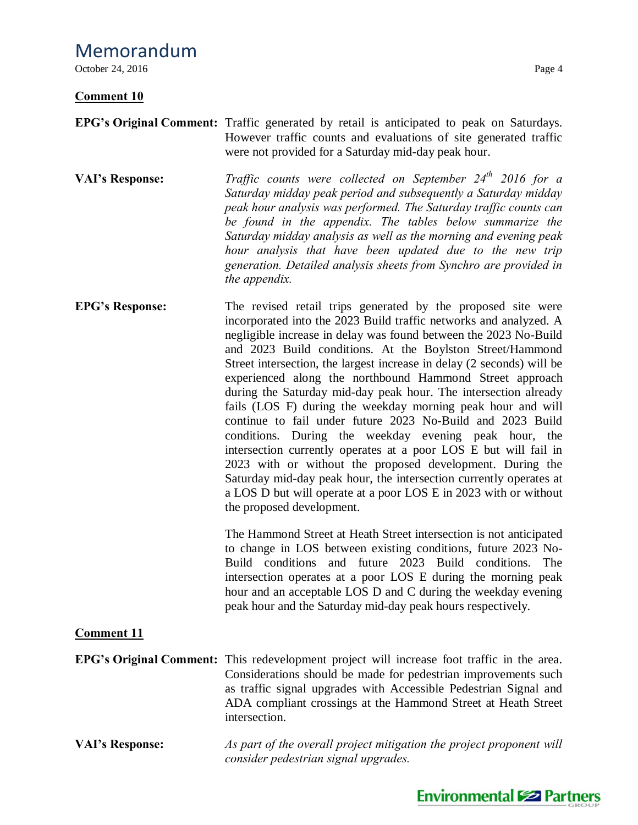October 24, 2016 Page 4

### **Comment 10**

- **EPG's Original Comment:** Traffic generated by retail is anticipated to peak on Saturdays. However traffic counts and evaluations of site generated traffic were not provided for a Saturday mid-day peak hour.
- **VAI's Response:** *Traffic counts were collected on September 24th 2016 for a Saturday midday peak period and subsequently a Saturday midday peak hour analysis was performed. The Saturday traffic counts can be found in the appendix. The tables below summarize the Saturday midday analysis as well as the morning and evening peak hour analysis that have been updated due to the new trip generation. Detailed analysis sheets from Synchro are provided in the appendix.*
- **EPG's Response:** The revised retail trips generated by the proposed site were incorporated into the 2023 Build traffic networks and analyzed. A negligible increase in delay was found between the 2023 No-Build and 2023 Build conditions. At the Boylston Street/Hammond Street intersection, the largest increase in delay (2 seconds) will be experienced along the northbound Hammond Street approach during the Saturday mid-day peak hour. The intersection already fails (LOS F) during the weekday morning peak hour and will continue to fail under future 2023 No-Build and 2023 Build conditions. During the weekday evening peak hour, the intersection currently operates at a poor LOS E but will fail in 2023 with or without the proposed development. During the Saturday mid-day peak hour, the intersection currently operates at a LOS D but will operate at a poor LOS E in 2023 with or without the proposed development.

The Hammond Street at Heath Street intersection is not anticipated to change in LOS between existing conditions, future 2023 No-Build conditions and future 2023 Build conditions. The intersection operates at a poor LOS E during the morning peak hour and an acceptable LOS D and C during the weekday evening peak hour and the Saturday mid-day peak hours respectively.

### **Comment 11**

- **EPG's Original Comment:** This redevelopment project will increase foot traffic in the area. Considerations should be made for pedestrian improvements such as traffic signal upgrades with Accessible Pedestrian Signal and ADA compliant crossings at the Hammond Street at Heath Street intersection.
- **VAI's Response:** *As part of the overall project mitigation the project proponent will consider pedestrian signal upgrades.*

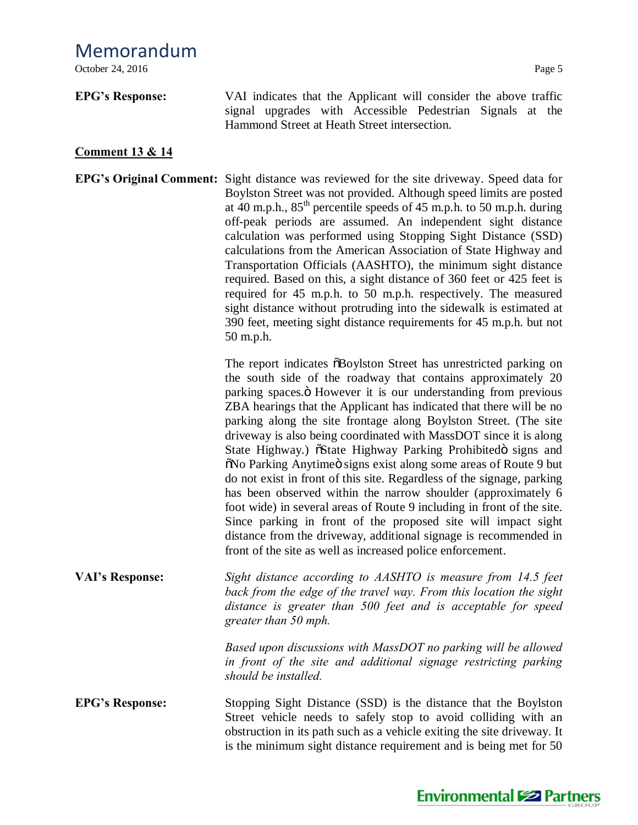**EPG's Response:** VAI indicates that the Applicant will consider the above traffic signal upgrades with Accessible Pedestrian Signals at the Hammond Street at Heath Street intersection.

## **Comment 13 & 14**

**EPG's Original Comment:** Sight distance was reviewed for the site driveway. Speed data for Boylston Street was not provided. Although speed limits are posted at 40 m.p.h.,  $85<sup>th</sup>$  percentile speeds of 45 m.p.h. to 50 m.p.h. during off-peak periods are assumed. An independent sight distance calculation was performed using Stopping Sight Distance (SSD) calculations from the American Association of State Highway and Transportation Officials (AASHTO), the minimum sight distance required. Based on this, a sight distance of 360 feet or 425 feet is required for 45 m.p.h. to 50 m.p.h. respectively. The measured sight distance without protruding into the sidewalk is estimated at 390 feet, meeting sight distance requirements for 45 m.p.h. but not 50 m.p.h.

> The report indicates  $\delta$ Boylston Street has unrestricted parking on the south side of the roadway that contains approximately 20 parking spaces. Thowever it is our understanding from previous ZBA hearings that the Applicant has indicated that there will be no parking along the site frontage along Boylston Street. (The site driveway is also being coordinated with MassDOT since it is along State Highway.)  $\delta$ State Highway Parking Prohibited is signs and  $\delta$ No Parking Anytimeö signs exist along some areas of Route 9 but do not exist in front of this site. Regardless of the signage, parking has been observed within the narrow shoulder (approximately 6 foot wide) in several areas of Route 9 including in front of the site. Since parking in front of the proposed site will impact sight distance from the driveway, additional signage is recommended in front of the site as well as increased police enforcement.

**VAI's Response:** *Sight distance according to AASHTO is measure from 14.5 feet back from the edge of the travel way. From this location the sight distance is greater than 500 feet and is acceptable for speed greater than 50 mph.*

> *Based upon discussions with MassDOT no parking will be allowed in front of the site and additional signage restricting parking should be installed.*

**EPG's Response:** Stopping Sight Distance (SSD) is the distance that the Boylston Street vehicle needs to safely stop to avoid colliding with an obstruction in its path such as a vehicle exiting the site driveway. It is the minimum sight distance requirement and is being met for 50

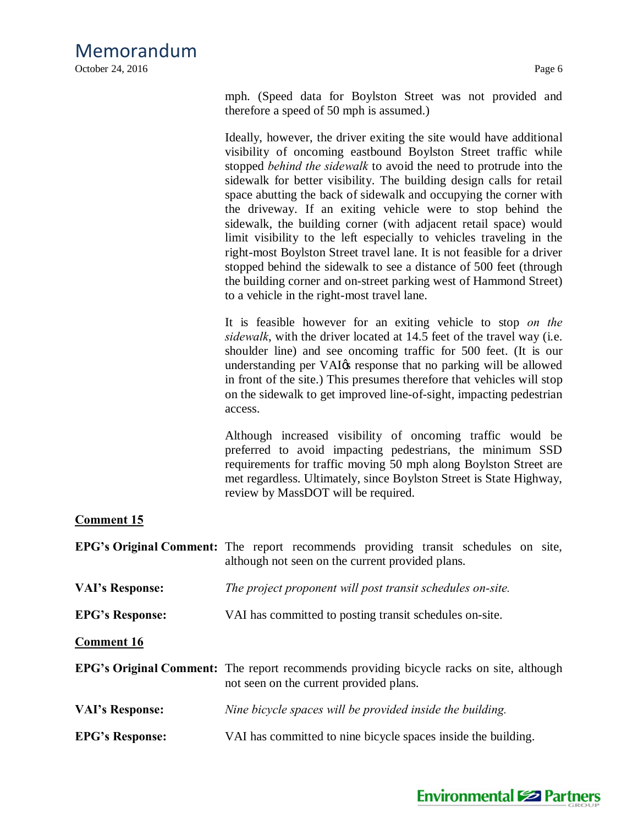October 24, 2016 Page 6

mph. (Speed data for Boylston Street was not provided and therefore a speed of 50 mph is assumed.)

Ideally, however, the driver exiting the site would have additional visibility of oncoming eastbound Boylston Street traffic while stopped *behind the sidewalk* to avoid the need to protrude into the sidewalk for better visibility. The building design calls for retail space abutting the back of sidewalk and occupying the corner with the driveway. If an exiting vehicle were to stop behind the sidewalk, the building corner (with adjacent retail space) would limit visibility to the left especially to vehicles traveling in the right-most Boylston Street travel lane. It is not feasible for a driver stopped behind the sidewalk to see a distance of 500 feet (through the building corner and on-street parking west of Hammond Street) to a vehicle in the right-most travel lane.

It is feasible however for an exiting vehicle to stop *on the sidewalk*, with the driver located at 14.5 feet of the travel way (i.e. shoulder line) and see oncoming traffic for 500 feet. (It is our understanding per VAI $\alpha$  response that no parking will be allowed in front of the site.) This presumes therefore that vehicles will stop on the sidewalk to get improved line-of-sight, impacting pedestrian access.

Although increased visibility of oncoming traffic would be preferred to avoid impacting pedestrians, the minimum SSD requirements for traffic moving 50 mph along Boylston Street are met regardless. Ultimately, since Boylston Street is State Highway, review by MassDOT will be required.

### **Comment 15**

|                        | <b>EPG's Original Comment:</b> The report recommends providing transit schedules on site,<br>although not seen on the current provided plans. |
|------------------------|-----------------------------------------------------------------------------------------------------------------------------------------------|
| <b>VAI's Response:</b> | The project proponent will post transit schedules on-site.                                                                                    |
| <b>EPG's Response:</b> | VAI has committed to posting transit schedules on-site.                                                                                       |
| <b>Comment 16</b>      |                                                                                                                                               |
|                        | <b>EPG's Original Comment:</b> The report recommends providing bicycle racks on site, although<br>not seen on the current provided plans.     |
| <b>VAI's Response:</b> | Nine bicycle spaces will be provided inside the building.                                                                                     |
| <b>EPG's Response:</b> | VAI has committed to nine bicycle spaces inside the building.                                                                                 |

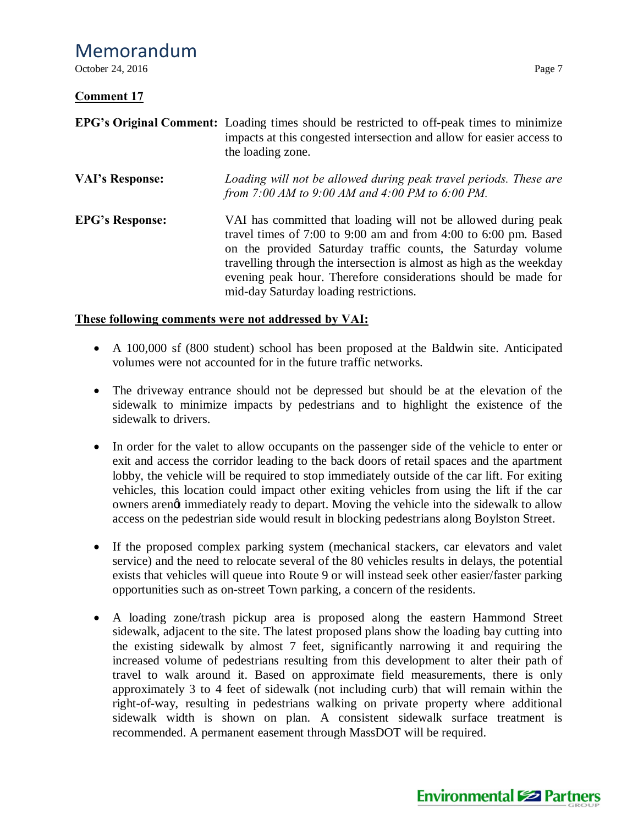October 24, 2016 Page 7

### **Comment 17**

|                        | <b>EPG's Original Comment:</b> Loading times should be restricted to off-peak times to minimize<br>impacts at this congested intersection and allow for easier access to<br>the loading zone.                                                                                                                                                                                         |
|------------------------|---------------------------------------------------------------------------------------------------------------------------------------------------------------------------------------------------------------------------------------------------------------------------------------------------------------------------------------------------------------------------------------|
| <b>VAI's Response:</b> | Loading will not be allowed during peak travel periods. These are<br>from 7:00 AM to 9:00 AM and 4:00 PM to 6:00 PM.                                                                                                                                                                                                                                                                  |
| <b>EPG's Response:</b> | VAI has committed that loading will not be allowed during peak<br>travel times of 7:00 to 9:00 am and from 4:00 to 6:00 pm. Based<br>on the provided Saturday traffic counts, the Saturday volume<br>travelling through the intersection is almost as high as the weekday<br>evening peak hour. Therefore considerations should be made for<br>mid-day Saturday loading restrictions. |

### **These following comments were not addressed by VAI:**

- A 100,000 sf (800 student) school has been proposed at the Baldwin site. Anticipated volumes were not accounted for in the future traffic networks.
- The driveway entrance should not be depressed but should be at the elevation of the sidewalk to minimize impacts by pedestrians and to highlight the existence of the sidewalk to drivers.
- · In order for the valet to allow occupants on the passenger side of the vehicle to enter or exit and access the corridor leading to the back doors of retail spaces and the apartment lobby, the vehicle will be required to stop immediately outside of the car lift. For exiting vehicles, this location could impact other exiting vehicles from using the lift if the car owners arengt immediately ready to depart. Moving the vehicle into the sidewalk to allow access on the pedestrian side would result in blocking pedestrians along Boylston Street.
- If the proposed complex parking system (mechanical stackers, car elevators and valet service) and the need to relocate several of the 80 vehicles results in delays, the potential exists that vehicles will queue into Route 9 or will instead seek other easier/faster parking opportunities such as on-street Town parking, a concern of the residents.
- · A loading zone/trash pickup area is proposed along the eastern Hammond Street sidewalk, adjacent to the site. The latest proposed plans show the loading bay cutting into the existing sidewalk by almost 7 feet, significantly narrowing it and requiring the increased volume of pedestrians resulting from this development to alter their path of travel to walk around it. Based on approximate field measurements, there is only approximately 3 to 4 feet of sidewalk (not including curb) that will remain within the right-of-way, resulting in pedestrians walking on private property where additional sidewalk width is shown on plan. A consistent sidewalk surface treatment is recommended. A permanent easement through MassDOT will be required.